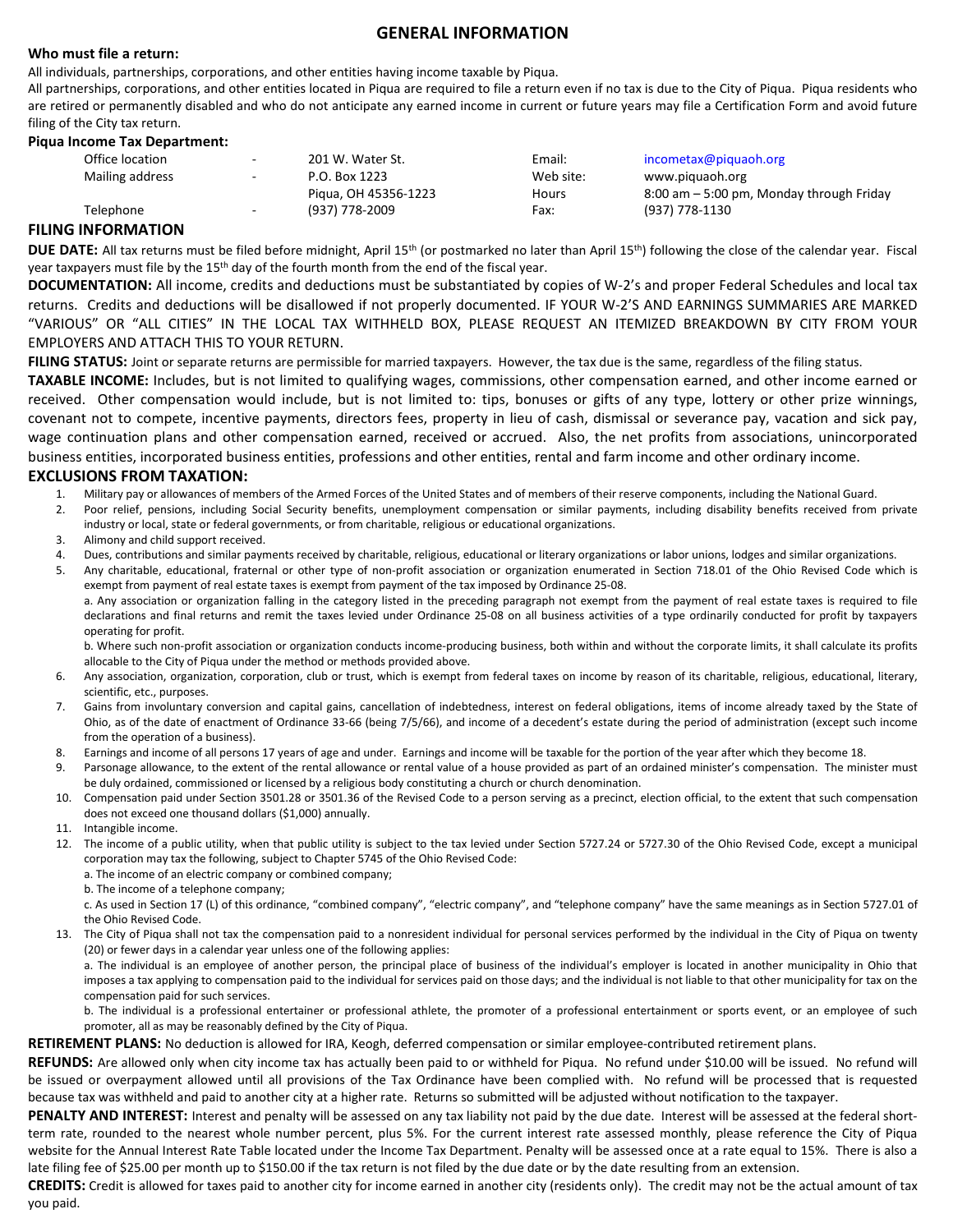## **GENERAL INFORMATION**

## **Who must file a return:**

All individuals, partnerships, corporations, and other entities having income taxable by Piqua.

All partnerships, corporations, and other entities located in Piqua are required to file a return even if no tax is due to the City of Piqua. Piqua residents who are retired or permanently disabled and who do not anticipate any earned income in current or future years may file a Certification Form and avoid future filing of the City tax return.

#### **Piqua Income Tax Department:**

| Office location | $\sim$                   | 201 W. Water St.     | Email:    | incometax@piquaoh.org                       |
|-----------------|--------------------------|----------------------|-----------|---------------------------------------------|
| Mailing address | $\sim$                   | P.O. Box 1223        | Web site: | www.piguaoh.org                             |
|                 |                          | Pigua, OH 45356-1223 | Hours     | $8:00$ am $-5:00$ pm, Monday through Friday |
| Telephone       | $\overline{\phantom{a}}$ | (937) 778-2009       | Fax:      | (937) 778-1130                              |
|                 |                          |                      |           |                                             |

## **FILING INFORMATION**

**DUE DATE:** All tax returns must be filed before midnight, April 15<sup>th</sup> (or postmarked no later than April 15<sup>th</sup>) following the close of the calendar year. Fiscal year taxpayers must file by the 15<sup>th</sup> day of the fourth month from the end of the fiscal year.

**DOCUMENTATION:** All income, credits and deductions must be substantiated by copies of W-2's and proper Federal Schedules and local tax returns. Credits and deductions will be disallowed if not properly documented. IF YOUR W-2'S AND EARNINGS SUMMARIES ARE MARKED "VARIOUS" OR "ALL CITIES" IN THE LOCAL TAX WITHHELD BOX, PLEASE REQUEST AN ITEMIZED BREAKDOWN BY CITY FROM YOUR EMPLOYERS AND ATTACH THIS TO YOUR RETURN.

**FILING STATUS:** Joint or separate returns are permissible for married taxpayers. However, the tax due is the same, regardless of the filing status.

**TAXABLE INCOME:** Includes, but is not limited to qualifying wages, commissions, other compensation earned, and other income earned or received. Other compensation would include, but is not limited to: tips, bonuses or gifts of any type, lottery or other prize winnings, covenant not to compete, incentive payments, directors fees, property in lieu of cash, dismissal or severance pay, vacation and sick pay, wage continuation plans and other compensation earned, received or accrued. Also, the net profits from associations, unincorporated business entities, incorporated business entities, professions and other entities, rental and farm income and other ordinary income.

## **EXCLUSIONS FROM TAXATION:**

- 1. Military pay or allowances of members of the Armed Forces of the United States and of members of their reserve components, including the National Guard.
- 2. Poor relief, pensions, including Social Security benefits, unemployment compensation or similar payments, including disability benefits received from private industry or local, state or federal governments, or from charitable, religious or educational organizations.
- 3. Alimony and child support received.
- 4. Dues, contributions and similar payments received by charitable, religious, educational or literary organizations or labor unions, lodges and similar organizations.
- 5. Any charitable, educational, fraternal or other type of non-profit association or organization enumerated in Section 718.01 of the Ohio Revised Code which is exempt from payment of real estate taxes is exempt from payment of the tax imposed by Ordinance 25-08. a. Any association or organization falling in the category listed in the preceding paragraph not exempt from the payment of real estate taxes is required to file declarations and final returns and remit the taxes levied under Ordinance 25-08 on all business activities of a type ordinarily conducted for profit by taxpayers

operating for profit. b. Where such non-profit association or organization conducts income-producing business, both within and without the corporate limits, it shall calculate its profits allocable to the City of Piqua under the method or methods provided above.

- 6. Any association, organization, corporation, club or trust, which is exempt from federal taxes on income by reason of its charitable, religious, educational, literary, scientific, etc., purposes.
- 7. Gains from involuntary conversion and capital gains, cancellation of indebtedness, interest on federal obligations, items of income already taxed by the State of Ohio, as of the date of enactment of Ordinance 33-66 (being 7/5/66), and income of a decedent's estate during the period of administration (except such income from the operation of a business).
- 8. Earnings and income of all persons 17 years of age and under. Earnings and income will be taxable for the portion of the year after which they become 18.
- 9. Parsonage allowance, to the extent of the rental allowance or rental value of a house provided as part of an ordained minister's compensation. The minister must be duly ordained, commissioned or licensed by a religious body constituting a church or church denomination.
- 10. Compensation paid under Section 3501.28 or 3501.36 of the Revised Code to a person serving as a precinct, election official, to the extent that such compensation does not exceed one thousand dollars (\$1,000) annually.
- 11. Intangible income.
- 12. The income of a public utility, when that public utility is subject to the tax levied under Section 5727.24 or 5727.30 of the Ohio Revised Code, except a municipal corporation may tax the following, subject to Chapter 5745 of the Ohio Revised Code:
	- a. The income of an electric company or combined company;
	- b. The income of a telephone company;

c. As used in Section 17 (L) of this ordinance, "combined company", "electric company", and "telephone company" have the same meanings as in Section 5727.01 of the Ohio Revised Code.

13. The City of Piqua shall not tax the compensation paid to a nonresident individual for personal services performed by the individual in the City of Piqua on twenty (20) or fewer days in a calendar year unless one of the following applies:

a. The individual is an employee of another person, the principal place of business of the individual's employer is located in another municipality in Ohio that imposes a tax applying to compensation paid to the individual for services paid on those days; and the individual is not liable to that other municipality for tax on the compensation paid for such services.

b. The individual is a professional entertainer or professional athlete, the promoter of a professional entertainment or sports event, or an employee of such promoter, all as may be reasonably defined by the City of Piqua.

**RETIREMENT PLANS:** No deduction is allowed for IRA, Keogh, deferred compensation or similar employee-contributed retirement plans.

**REFUNDS:** Are allowed only when city income tax has actually been paid to or withheld for Piqua. No refund under \$10.00 will be issued. No refund will be issued or overpayment allowed until all provisions of the Tax Ordinance have been complied with. No refund will be processed that is requested because tax was withheld and paid to another city at a higher rate. Returns so submitted will be adjusted without notification to the taxpayer.

PENALTY AND INTEREST: Interest and penalty will be assessed on any tax liability not paid by the due date. Interest will be assessed at the federal shortterm rate, rounded to the nearest whole number percent, plus 5%. For the current interest rate assessed monthly, please reference the City of Piqua website for the Annual Interest Rate Table located under the Income Tax Department. Penalty will be assessed once at a rate equal to 15%. There is also a late filing fee of \$25.00 per month up to \$150.00 if the tax return is not filed by the due date or by the date resulting from an extension.

**CREDITS:** Credit is allowed for taxes paid to another city for income earned in another city (residents only). The credit may not be the actual amount of tax you paid.